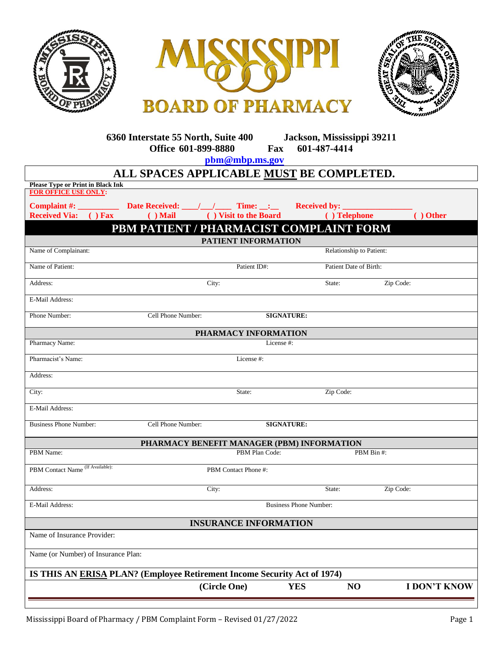





**6360 Interstate 55 North, Suite 400 Jackson, Mississippi 39211 Office 601-899-8880 Fax 601-487-4414**

**pbm[@mbp.ms.gov](mailto:sparker@mbp.ms.gov)**

| ALL SPACES APPLICABLE MUST BE COMPLETED.                                 |                                                                   |                               |                                      |                     |  |  |  |
|--------------------------------------------------------------------------|-------------------------------------------------------------------|-------------------------------|--------------------------------------|---------------------|--|--|--|
| <b>Please Type or Print in Black Ink</b><br><b>FOR OFFICE USE ONLY:</b>  |                                                                   |                               |                                      |                     |  |  |  |
|                                                                          |                                                                   |                               |                                      |                     |  |  |  |
| Complaint #:<br><b>Received Via:</b><br>$()$ Fax                         | Date Received: $\angle$ / $\angle$ Time: $\angle$ :<br>$( )$ Mail | ( ) Visit to the Board        | <b>Received by:</b><br>( ) Telephone | ( ) Other           |  |  |  |
|                                                                          |                                                                   |                               |                                      |                     |  |  |  |
| PBM PATIENT / PHARMACIST COMPLAINT FORM<br>PATIENT INFORMATION           |                                                                   |                               |                                      |                     |  |  |  |
| Name of Complainant:                                                     |                                                                   |                               | Relationship to Patient:             |                     |  |  |  |
| Name of Patient:                                                         |                                                                   | Patient ID#:                  | Patient Date of Birth:               |                     |  |  |  |
| Address:                                                                 | City:                                                             |                               |                                      | Zip Code:           |  |  |  |
| E-Mail Address:                                                          |                                                                   |                               |                                      |                     |  |  |  |
| Phone Number:                                                            | Cell Phone Number:                                                | <b>SIGNATURE:</b>             |                                      |                     |  |  |  |
| PHARMACY INFORMATION                                                     |                                                                   |                               |                                      |                     |  |  |  |
| Pharmacy Name:                                                           |                                                                   | License #:                    |                                      |                     |  |  |  |
| Pharmacist's Name:                                                       | License #:                                                        |                               |                                      |                     |  |  |  |
| Address:                                                                 |                                                                   |                               |                                      |                     |  |  |  |
| City:                                                                    |                                                                   | State:                        |                                      | Zip Code:           |  |  |  |
| E-Mail Address:                                                          |                                                                   |                               |                                      |                     |  |  |  |
| <b>Business Phone Number:</b>                                            | Cell Phone Number:                                                | <b>SIGNATURE:</b>             |                                      |                     |  |  |  |
| PHARMACY BENEFIT MANAGER (PBM) INFORMATION                               |                                                                   |                               |                                      |                     |  |  |  |
| PBM Name:                                                                |                                                                   | PBM Plan Code:<br>PBM Bin #:  |                                      |                     |  |  |  |
| PBM Contact Name (If Available):                                         |                                                                   | PBM Contact Phone #:          |                                      |                     |  |  |  |
| Address:                                                                 | City:                                                             |                               | State:                               | Zip Code:           |  |  |  |
| E-Mail Address:                                                          |                                                                   | <b>Business Phone Number:</b> |                                      |                     |  |  |  |
| <b>INSURANCE INFORMATION</b>                                             |                                                                   |                               |                                      |                     |  |  |  |
| Name of Insurance Provider:                                              |                                                                   |                               |                                      |                     |  |  |  |
| Name (or Number) of Insurance Plan:                                      |                                                                   |                               |                                      |                     |  |  |  |
| IS THIS AN ERISA PLAN? (Employee Retirement Income Security Act of 1974) |                                                                   |                               |                                      |                     |  |  |  |
|                                                                          | (Circle One)                                                      |                               | <b>YES</b><br>N <sub>O</sub>         | <b>I DON'T KNOW</b> |  |  |  |
|                                                                          |                                                                   |                               |                                      |                     |  |  |  |